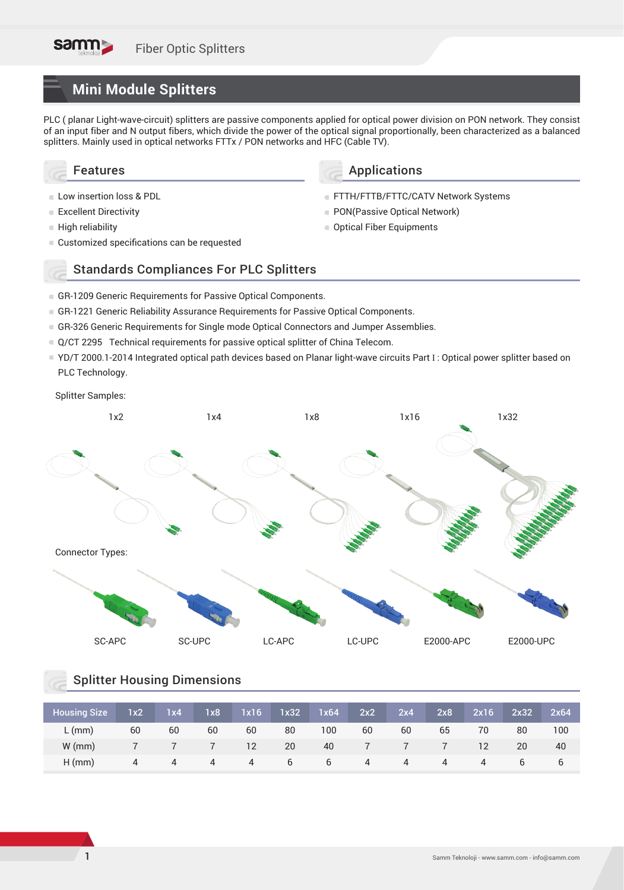# **Mini Module Splitters**

PLC ( planar Light-wave-circuit) splitters are passive components applied for optical power division on PON network. They consist of an input fiber and N output fibers, which divide the power of the optical signal proportionally, been characterized as a balanced splitters. Mainly used in optical networks FTTx / PON networks and HFC (Cable TV).

Applications

PON(Passive Optical Network) ■ Optical Fiber Equipments

FTTH/FTTB/FTTC/CATV Network Systems

### Features

- **Low insertion loss & PDL**
- **Excellent Directivity**
- High reliability
- Customized specifications can be requested

## Standards Compliances For PLC Splitters

- GR-1209 Generic Requirements for Passive Optical Components.
- GR-1221 Generic Reliability Assurance Requirements for Passive Optical Components.
- GR-326 Generic Requirements for Single mode Optical Connectors and Jumper Assemblies.
- Q/CT 2295 Technical requirements for passive optical splitter of China Telecom.
- YD/T 2000.1-2014 Integrated optical path devices based on Planar light-wave circuits Part I : Optical power splitter based on PLC Technology.

#### Splitter Samples:



## Splitter Housing Dimensions

| <b>Housing Size</b> | 1x2 | 1x4 | 1x8 | 1x16              | 1x32 | 1x64 | 2x2 | 2x4 | 2x8 | 2x16 | 2x32 | 2x64 |
|---------------------|-----|-----|-----|-------------------|------|------|-----|-----|-----|------|------|------|
| $L$ (mm)            | 60  | 60  | 60  | 60                | 80   | 100  | 60  | 60  | 65  | 70   | 80   | 100  |
| $W$ (mm)            |     |     |     | $12 \overline{ }$ | 20   | 40   |     |     |     | 12   | 20   | 40   |
| $H$ (mm)            | 4   | 4   | 4   | 4                 | b    | 6    | 4   | 4   | 4   | 4    | b    | b    |